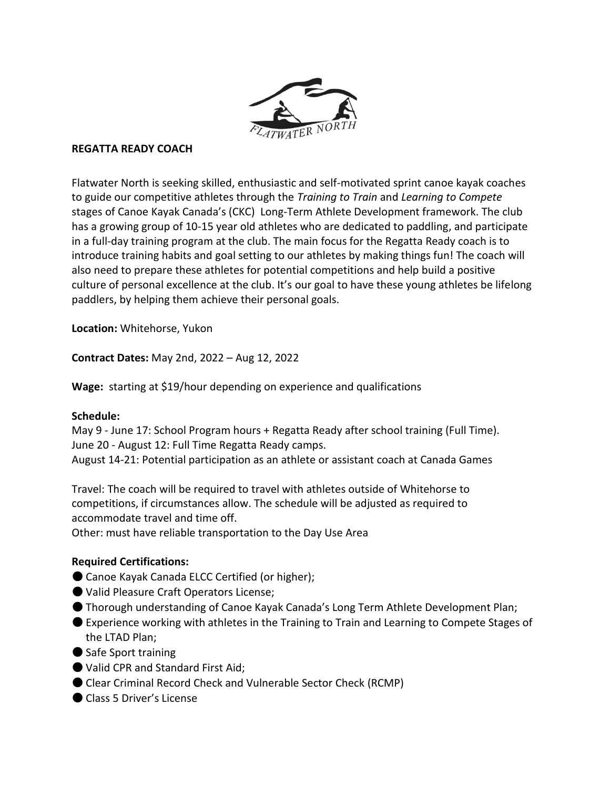

#### **REGATTA READY COACH**

Flatwater North is seeking skilled, enthusiastic and self-motivated sprint canoe kayak coaches to guide our competitive athletes through the *Training to Train* and *Learning to Compete* stages of Canoe Kayak Canada's (CKC) Long-Term Athlete Development framework. The club has a growing group of 10-15 year old athletes who are dedicated to paddling, and participate in a full-day training program at the club. The main focus for the Regatta Ready coach is to introduce training habits and goal setting to our athletes by making things fun! The coach will also need to prepare these athletes for potential competitions and help build a positive culture of personal excellence at the club. It's our goal to have these young athletes be lifelong paddlers, by helping them achieve their personal goals.

**Location:** Whitehorse, Yukon

**Contract Dates:** May 2nd, 2022 – Aug 12, 2022

**Wage:** starting at \$19/hour depending on experience and qualifications

#### **Schedule:**

May 9 - June 17: School Program hours + Regatta Ready after school training (Full Time). June 20 - August 12: Full Time Regatta Ready camps. August 14-21: Potential participation as an athlete or assistant coach at Canada Games

Travel: The coach will be required to travel with athletes outside of Whitehorse to competitions, if circumstances allow. The schedule will be adjusted as required to accommodate travel and time off.

Other: must have reliable transportation to the Day Use Area

# **Required Certifications:**

- Canoe Kayak Canada ELCC Certified (or higher);
- Valid Pleasure Craft Operators License;
- Thorough understanding of Canoe Kayak Canada's Long Term Athlete Development Plan;
- Experience working with athletes in the Training to Train and Learning to Compete Stages of the LTAD Plan;
- Safe Sport training
- Valid CPR and Standard First Aid;
- Clear Criminal Record Check and Vulnerable Sector Check (RCMP)
- Class 5 Driver's License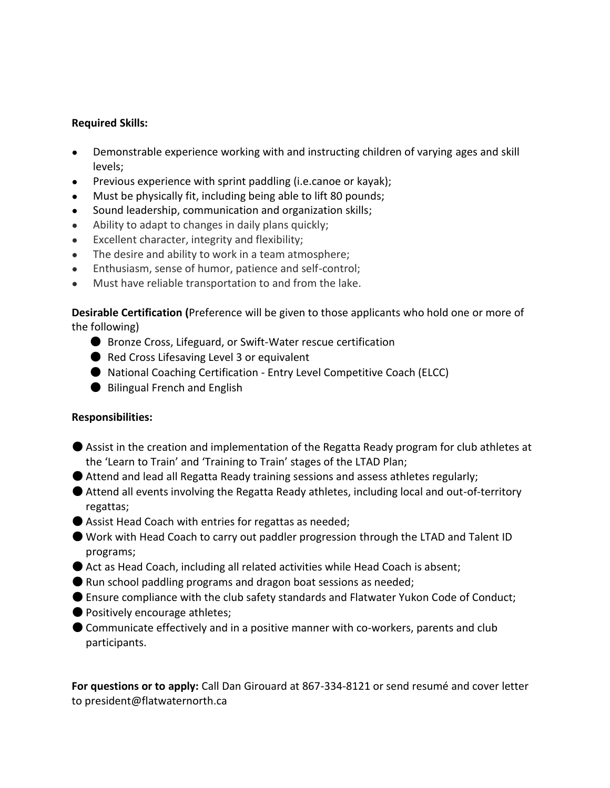### **Required Skills:**

- Demonstrable experience working with and instructing children of varying ages and skill levels;
- Previous experience with sprint paddling (i.e.canoe or kayak);
- Must be physically fit, including being able to lift 80 pounds;
- Sound leadership, communication and organization skills;
- Ability to adapt to changes in daily plans quickly;
- Excellent character, integrity and flexibility;
- The desire and ability to work in a team atmosphere;
- Enthusiasm, sense of humor, patience and self-control;
- Must have reliable transportation to and from the lake.

**Desirable Certification (**Preference will be given to those applicants who hold one or more of the following)

- Bronze Cross, Lifeguard, or Swift-Water rescue certification
- Red Cross Lifesaving Level 3 or equivalent
- National Coaching Certification Entry Level Competitive Coach (ELCC)
- Bilingual French and English

# **Responsibilities:**

- Assist in the creation and implementation of the Regatta Ready program for club athletes at the 'Learn to Train' and 'Training to Train' stages of the LTAD Plan;
- $\bullet$  Attend and lead all Regatta Ready training sessions and assess athletes regularly;
- Attend all events involving the Regatta Ready athletes, including local and out-of-territory regattas;
- Assist Head Coach with entries for regattas as needed;
- Work with Head Coach to carry out paddler progression through the LTAD and Talent ID programs;
- Act as Head Coach, including all related activities while Head Coach is absent;
- $\bullet$  Run school paddling programs and dragon boat sessions as needed;
- Ensure compliance with the club safety standards and Flatwater Yukon Code of Conduct;
- Positively encourage athletes;
- Communicate effectively and in a positive manner with co-workers, parents and club participants.

**For questions or to apply:** Call Dan Girouard at 867-334-8121 or send resumé and cover letter to president@flatwaternorth.ca